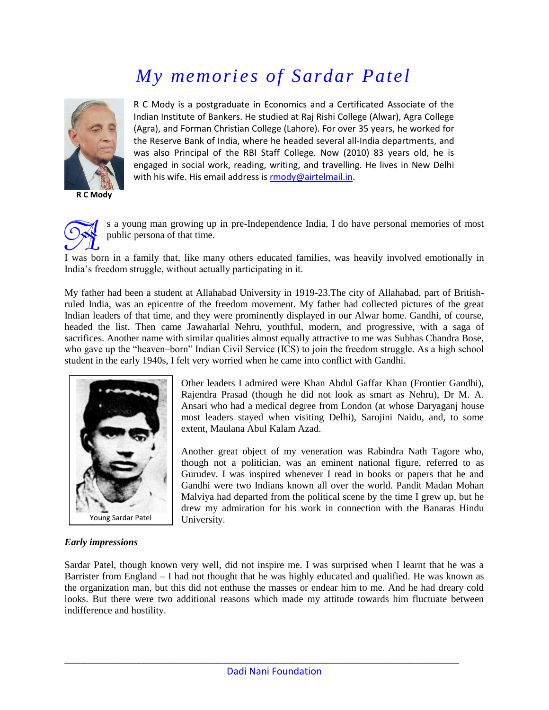# *My memories of Sardar Patel*



**R C Mody**

R C Mody is a postgraduate in Economics and a Certificated Associate of the Indian Institute of Bankers. He studied at Raj Rishi College (Alwar), Agra College (Agra), and Forman Christian College (Lahore). For over 35 years, he worked for the Reserve Bank of India, where he headed several all-India departments, and was also Principal of the RBI Staff College. Now (2010) 83 years old, he is engaged in social work, reading, writing, and travelling. He lives in New Delhi with his wife. His email address i[s rmody@airtelmail.in.](mailto:rmody@airtelmail.in)



s a young man growing up in pre-Independence India, I do have personal memories of most public persona of that time.

I was born in a family that, like many others educated families, was heavily involved emotionally in India"s freedom struggle, without actually participating in it.

My father had been a student at Allahabad University in 1919-23.The city of Allahabad, part of Britishruled India, was an epicentre of the freedom movement. My father had collected pictures of the great Indian leaders of that time, and they were prominently displayed in our Alwar home. Gandhi, of course, headed the list. Then came Jawaharlal Nehru, youthful, modern, and progressive, with a saga of sacrifices. Another name with similar qualities almost equally attractive to me was Subhas Chandra Bose, who gave up the "heaven-born" Indian Civil Service (ICS) to join the freedom struggle. As a high school student in the early 1940s, I felt very worried when he came into conflict with Gandhi.



Other leaders I admired were Khan Abdul Gaffar Khan (Frontier Gandhi), Rajendra Prasad (though he did not look as smart as Nehru), Dr M. A. Ansari who had a medical degree from London (at whose Daryaganj house most leaders stayed when visiting Delhi), Sarojini Naidu, and, to some extent, Maulana Abul Kalam Azad.

Another great object of my veneration was Rabindra Nath Tagore who, though not a politician, was an eminent national figure, referred to as Gurudev. I was inspired whenever I read in books or papers that he and Gandhi were two Indians known all over the world. Pandit Madan Mohan Malviya had departed from the political scene by the time I grew up, but he drew my admiration for his work in connection with the Banaras Hindu University.

#### *Early impressions*

Sardar Patel, though known very well, did not inspire me. I was surprised when I learnt that he was a Barrister from England – I had not thought that he was highly educated and qualified. He was known as the organization man, but this did not enthuse the masses or endear him to me. And he had dreary cold looks. But there were two additional reasons which made my attitude towards him fluctuate between indifference and hostility.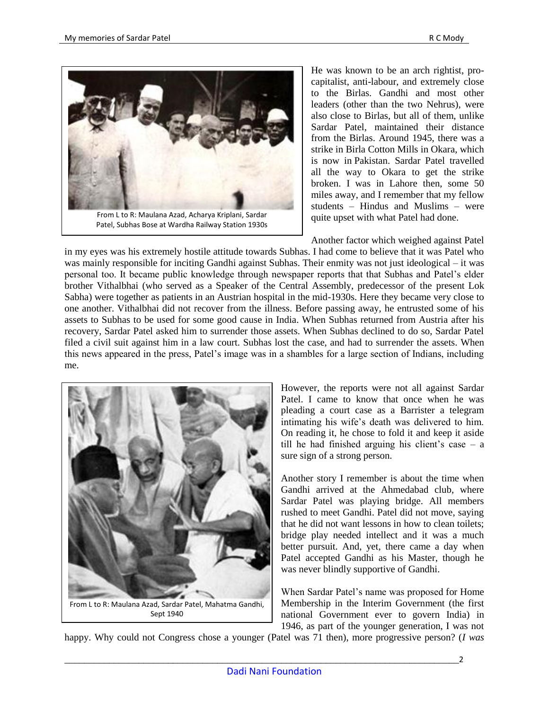

Patel, Subhas Bose at Wardha Railway Station 1930s

He was known to be an arch rightist, procapitalist, anti-labour, and extremely close to the Birlas. Gandhi and most other leaders (other than the two Nehrus), were also close to Birlas, but all of them, unlike Sardar Patel, maintained their distance from the Birlas. Around 1945, there was a strike in Birla Cotton Mills in Okara, which is now in Pakistan. Sardar Patel travelled all the way to Okara to get the strike broken. I was in Lahore then, some 50 miles away, and I remember that my fellow students – Hindus and Muslims – were quite upset with what Patel had done.

Another factor which weighed against Patel

in my eyes was his extremely hostile attitude towards Subhas. I had come to believe that it was Patel who was mainly responsible for inciting Gandhi against Subhas. Their enmity was not just ideological – it was personal too. It became public knowledge through newspaper reports that that Subhas and Patel"s elder brother Vithalbhai (who served as a Speaker of the Central Assembly, predecessor of the present Lok Sabha) were together as patients in an Austrian hospital in the mid-1930s. Here they became very close to one another. Vithalbhai did not recover from the illness. Before passing away, he entrusted some of his assets to Subhas to be used for some good cause in India. When Subhas returned from Austria after his recovery, Sardar Patel asked him to surrender those assets. When Subhas declined to do so, Sardar Patel filed a civil suit against him in a law court. Subhas lost the case, and had to surrender the assets. When this news appeared in the press, Patel"s image was in a shambles for a large section of Indians, including me.



However, the reports were not all against Sardar Patel. I came to know that once when he was pleading a court case as a Barrister a telegram intimating his wife"s death was delivered to him. On reading it, he chose to fold it and keep it aside till he had finished arguing his client's case  $-$  a sure sign of a strong person.

Another story I remember is about the time when Gandhi arrived at the Ahmedabad club, where Sardar Patel was playing bridge. All members rushed to meet Gandhi. Patel did not move, saying that he did not want lessons in how to clean toilets; bridge play needed intellect and it was a much better pursuit. And, yet, there came a day when Patel accepted Gandhi as his Master, though he was never blindly supportive of Gandhi.

When Sardar Patel"s name was proposed for Home Membership in the Interim Government (the first national Government ever to govern India) in 1946, as part of the younger generation, I was not

happy. Why could not Congress chose a younger (Patel was 71 then), more progressive person? (*I was*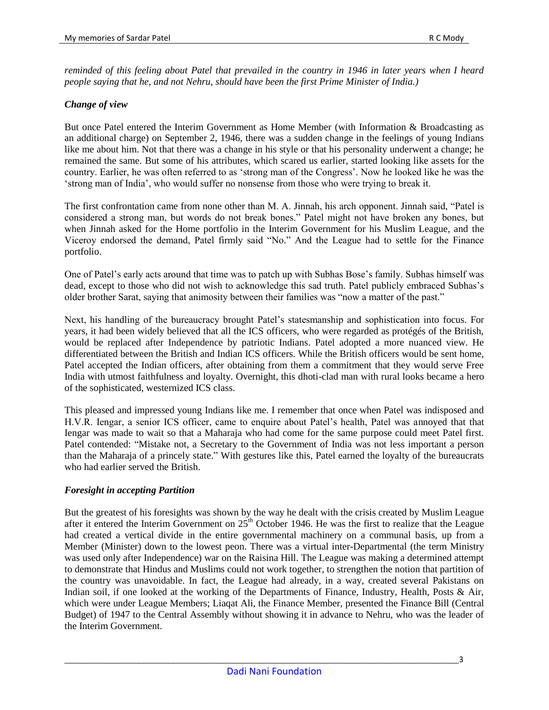*reminded of this feeling about Patel that prevailed in the country in 1946 in later years when I heard people saying that he, and not Nehru, should have been the first Prime Minister of India.)*

### *Change of view*

But once Patel entered the Interim Government as Home Member (with Information & Broadcasting as an additional charge) on September 2, 1946, there was a sudden change in the feelings of young Indians like me about him. Not that there was a change in his style or that his personality underwent a change; he remained the same. But some of his attributes, which scared us earlier, started looking like assets for the country. Earlier, he was often referred to as 'strong man of the Congress'. Now he looked like he was the "strong man of India", who would suffer no nonsense from those who were trying to break it.

The first confrontation came from none other than M. A. Jinnah, his arch opponent. Jinnah said, "Patel is considered a strong man, but words do not break bones." Patel might not have broken any bones, but when Jinnah asked for the Home portfolio in the Interim Government for his Muslim League, and the Viceroy endorsed the demand, Patel firmly said "No." And the League had to settle for the Finance portfolio.

One of Patel"s early acts around that time was to patch up with Subhas Bose"s family. Subhas himself was dead, except to those who did not wish to acknowledge this sad truth. Patel publicly embraced Subhas"s older brother Sarat, saying that animosity between their families was "now a matter of the past."

Next, his handling of the bureaucracy brought Patel"s statesmanship and sophistication into focus. For years, it had been widely believed that all the ICS officers, who were regarded as protégés of the British, would be replaced after Independence by patriotic Indians. Patel adopted a more nuanced view. He differentiated between the British and Indian ICS officers. While the British officers would be sent home, Patel accepted the Indian officers, after obtaining from them a commitment that they would serve Free India with utmost faithfulness and loyalty. Overnight, this dhoti-clad man with rural looks became a hero of the sophisticated, westernized ICS class.

This pleased and impressed young Indians like me. I remember that once when Patel was indisposed and H.V.R. Iengar, a senior ICS officer, came to enquire about Patel"s health, Patel was annoyed that that Iengar was made to wait so that a Maharaja who had come for the same purpose could meet Patel first. Patel contended: "Mistake not, a Secretary to the Government of India was not less important a person than the Maharaja of a princely state." With gestures like this, Patel earned the loyalty of the bureaucrats who had earlier served the British.

#### *Foresight in accepting Partition*

But the greatest of his foresights was shown by the way he dealt with the crisis created by Muslim League after it entered the Interim Government on  $25<sup>th</sup>$  October 1946. He was the first to realize that the League had created a vertical divide in the entire governmental machinery on a communal basis, up from a Member (Minister) down to the lowest peon. There was a virtual inter-Departmental (the term Ministry was used only after Independence) war on the Raisina Hill. The League was making a determined attempt to demonstrate that Hindus and Muslims could not work together, to strengthen the notion that partition of the country was unavoidable. In fact, the League had already, in a way, created several Pakistans on Indian soil, if one looked at the working of the Departments of Finance, Industry, Health, Posts & Air, which were under League Members; Liaqat Ali, the Finance Member, presented the Finance Bill (Central Budget) of 1947 to the Central Assembly without showing it in advance to Nehru, who was the leader of the Interim Government.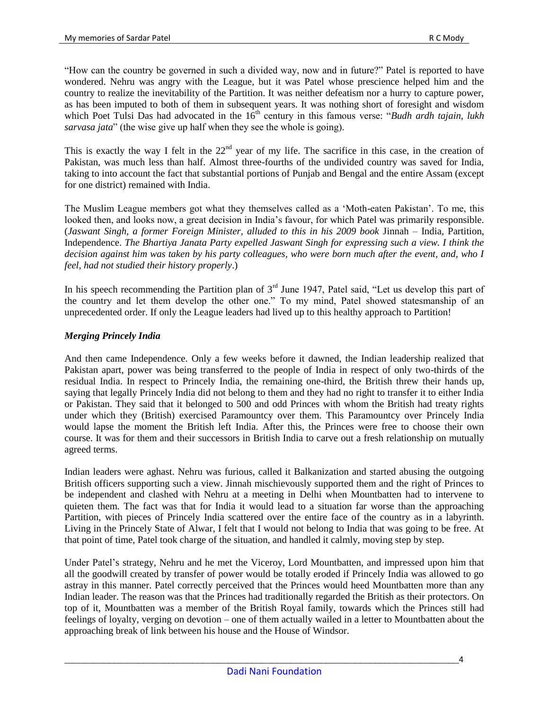"How can the country be governed in such a divided way, now and in future?" Patel is reported to have wondered. Nehru was angry with the League, but it was Patel whose prescience helped him and the country to realize the inevitability of the Partition. It was neither defeatism nor a hurry to capture power, as has been imputed to both of them in subsequent years. It was nothing short of foresight and wisdom which Poet Tulsi Das had advocated in the 16<sup>th</sup> century in this famous verse: "*Budh ardh tajain, lukh sarvasa jata*" (the wise give up half when they see the whole is going).

This is exactly the way I felt in the  $22<sup>nd</sup>$  year of my life. The sacrifice in this case, in the creation of Pakistan, was much less than half. Almost three-fourths of the undivided country was saved for India, taking to into account the fact that substantial portions of Punjab and Bengal and the entire Assam (except for one district) remained with India.

The Muslim League members got what they themselves called as a "Moth-eaten Pakistan". To me, this looked then, and looks now, a great decision in India"s favour, for which Patel was primarily responsible. (*Jaswant Singh, a former Foreign Minister, alluded to this in his 2009 book* Jinnah – India, Partition, Independence. *The Bhartiya Janata Party expelled Jaswant Singh for expressing such a view. I think the decision against him was taken by his party colleagues, who were born much after the event, and, who I feel, had not studied their history properly*.)

In his speech recommending the Partition plan of  $3<sup>rd</sup>$  June 1947, Patel said, "Let us develop this part of the country and let them develop the other one." To my mind, Patel showed statesmanship of an unprecedented order. If only the League leaders had lived up to this healthy approach to Partition!

## *Merging Princely India*

And then came Independence. Only a few weeks before it dawned, the Indian leadership realized that Pakistan apart, power was being transferred to the people of India in respect of only two-thirds of the residual India. In respect to Princely India, the remaining one-third, the British threw their hands up, saying that legally Princely India did not belong to them and they had no right to transfer it to either India or Pakistan. They said that it belonged to 500 and odd Princes with whom the British had treaty rights under which they (British) exercised Paramountcy over them. This Paramountcy over Princely India would lapse the moment the British left India. After this, the Princes were free to choose their own course. It was for them and their successors in British India to carve out a fresh relationship on mutually agreed terms.

Indian leaders were aghast. Nehru was furious, called it Balkanization and started abusing the outgoing British officers supporting such a view. Jinnah mischievously supported them and the right of Princes to be independent and clashed with Nehru at a meeting in Delhi when Mountbatten had to intervene to quieten them. The fact was that for India it would lead to a situation far worse than the approaching Partition, with pieces of Princely India scattered over the entire face of the country as in a labyrinth. Living in the Princely State of Alwar, I felt that I would not belong to India that was going to be free. At that point of time, Patel took charge of the situation, and handled it calmly, moving step by step.

Under Patel"s strategy, Nehru and he met the Viceroy, Lord Mountbatten, and impressed upon him that all the goodwill created by transfer of power would be totally eroded if Princely India was allowed to go astray in this manner. Patel correctly perceived that the Princes would heed Mountbatten more than any Indian leader. The reason was that the Princes had traditionally regarded the British as their protectors. On top of it, Mountbatten was a member of the British Royal family, towards which the Princes still had feelings of loyalty, verging on devotion – one of them actually wailed in a letter to Mountbatten about the approaching break of link between his house and the House of Windsor.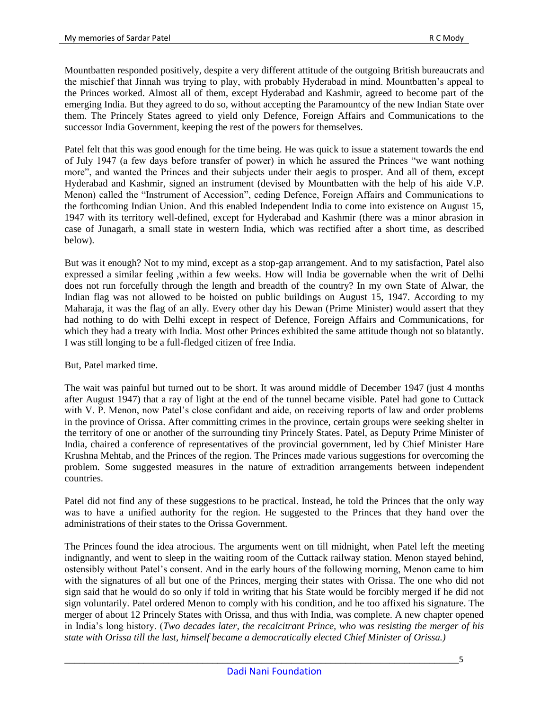Mountbatten responded positively, despite a very different attitude of the outgoing British bureaucrats and the mischief that Jinnah was trying to play, with probably Hyderabad in mind. Mountbatten"s appeal to the Princes worked. Almost all of them, except Hyderabad and Kashmir, agreed to become part of the emerging India. But they agreed to do so, without accepting the Paramountcy of the new Indian State over them. The Princely States agreed to yield only Defence, Foreign Affairs and Communications to the successor India Government, keeping the rest of the powers for themselves.

Patel felt that this was good enough for the time being. He was quick to issue a statement towards the end of July 1947 (a few days before transfer of power) in which he assured the Princes "we want nothing more", and wanted the Princes and their subjects under their aegis to prosper. And all of them, except Hyderabad and Kashmir, signed an instrument (devised by Mountbatten with the help of his aide V.P. Menon) called the "Instrument of Accession", ceding Defence, Foreign Affairs and Communications to the forthcoming Indian Union. And this enabled Independent India to come into existence on August 15, 1947 with its territory well-defined, except for Hyderabad and Kashmir (there was a minor abrasion in case of Junagarh, a small state in western India, which was rectified after a short time, as described below).

But was it enough? Not to my mind, except as a stop-gap arrangement. And to my satisfaction, Patel also expressed a similar feeling ,within a few weeks. How will India be governable when the writ of Delhi does not run forcefully through the length and breadth of the country? In my own State of Alwar, the Indian flag was not allowed to be hoisted on public buildings on August 15, 1947. According to my Maharaja, it was the flag of an ally. Every other day his Dewan (Prime Minister) would assert that they had nothing to do with Delhi except in respect of Defence, Foreign Affairs and Communications, for which they had a treaty with India. Most other Princes exhibited the same attitude though not so blatantly. I was still longing to be a full-fledged citizen of free India.

But, Patel marked time.

The wait was painful but turned out to be short. It was around middle of December 1947 (just 4 months after August 1947) that a ray of light at the end of the tunnel became visible. Patel had gone to Cuttack with V. P. Menon, now Patel's close confidant and aide, on receiving reports of law and order problems in the province of Orissa. After committing crimes in the province, certain groups were seeking shelter in the territory of one or another of the surrounding tiny Princely States. Patel, as Deputy Prime Minister of India, chaired a conference of representatives of the provincial government, led by Chief Minister Hare Krushna Mehtab, and the Princes of the region. The Princes made various suggestions for overcoming the problem. Some suggested measures in the nature of extradition arrangements between independent countries.

Patel did not find any of these suggestions to be practical. Instead, he told the Princes that the only way was to have a unified authority for the region. He suggested to the Princes that they hand over the administrations of their states to the Orissa Government.

The Princes found the idea atrocious. The arguments went on till midnight, when Patel left the meeting indignantly, and went to sleep in the waiting room of the Cuttack railway station. Menon stayed behind, ostensibly without Patel"s consent. And in the early hours of the following morning, Menon came to him with the signatures of all but one of the Princes, merging their states with Orissa. The one who did not sign said that he would do so only if told in writing that his State would be forcibly merged if he did not sign voluntarily. Patel ordered Menon to comply with his condition, and he too affixed his signature. The merger of about 12 Princely States with Orissa, and thus with India, was complete. A new chapter opened in India"s long history. (*Two decades later, the recalcitrant Prince, who was resisting the merger of his state with Orissa till the last, himself became a democratically elected Chief Minister of Orissa.)*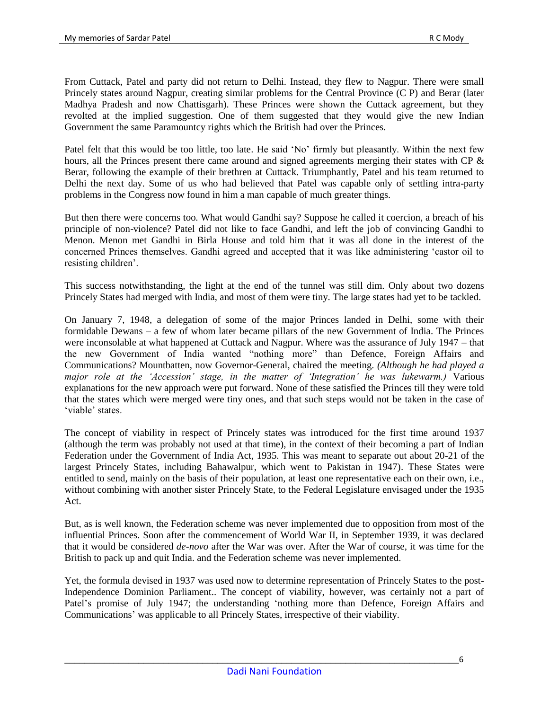From Cuttack, Patel and party did not return to Delhi. Instead, they flew to Nagpur. There were small Princely states around Nagpur, creating similar problems for the Central Province (C P) and Berar (later Madhya Pradesh and now Chattisgarh). These Princes were shown the Cuttack agreement, but they revolted at the implied suggestion. One of them suggested that they would give the new Indian Government the same Paramountcy rights which the British had over the Princes.

Patel felt that this would be too little, too late. He said 'No' firmly but pleasantly. Within the next few hours, all the Princes present there came around and signed agreements merging their states with CP & Berar, following the example of their brethren at Cuttack. Triumphantly, Patel and his team returned to Delhi the next day. Some of us who had believed that Patel was capable only of settling intra-party problems in the Congress now found in him a man capable of much greater things.

But then there were concerns too. What would Gandhi say? Suppose he called it coercion, a breach of his principle of non-violence? Patel did not like to face Gandhi, and left the job of convincing Gandhi to Menon. Menon met Gandhi in Birla House and told him that it was all done in the interest of the concerned Princes themselves. Gandhi agreed and accepted that it was like administering "castor oil to resisting children'.

This success notwithstanding, the light at the end of the tunnel was still dim. Only about two dozens Princely States had merged with India, and most of them were tiny. The large states had yet to be tackled.

On January 7, 1948, a delegation of some of the major Princes landed in Delhi, some with their formidable Dewans – a few of whom later became pillars of the new Government of India. The Princes were inconsolable at what happened at Cuttack and Nagpur. Where was the assurance of July 1947 – that the new Government of India wanted "nothing more" than Defence, Foreign Affairs and Communications? Mountbatten, now Governor-General, chaired the meeting. *(Although he had played a major role at the 'Accession' stage, in the matter of 'Integration' he was lukewarm.)* Various explanations for the new approach were put forward. None of these satisfied the Princes till they were told that the states which were merged were tiny ones, and that such steps would not be taken in the case of 'viable' states.

The concept of viability in respect of Princely states was introduced for the first time around 1937 (although the term was probably not used at that time), in the context of their becoming a part of Indian Federation under the Government of India Act, 1935. This was meant to separate out about 20-21 of the largest Princely States, including Bahawalpur, which went to Pakistan in 1947). These States were entitled to send, mainly on the basis of their population, at least one representative each on their own, i.e., without combining with another sister Princely State, to the Federal Legislature envisaged under the 1935 Act.

But, as is well known, the Federation scheme was never implemented due to opposition from most of the influential Princes. Soon after the commencement of World War II, in September 1939, it was declared that it would be considered *de-novo* after the War was over. After the War of course, it was time for the British to pack up and quit India. and the Federation scheme was never implemented.

Yet, the formula devised in 1937 was used now to determine representation of Princely States to the post-Independence Dominion Parliament.. The concept of viability, however, was certainly not a part of Patel's promise of July 1947; the understanding 'nothing more than Defence, Foreign Affairs and Communications" was applicable to all Princely States, irrespective of their viability.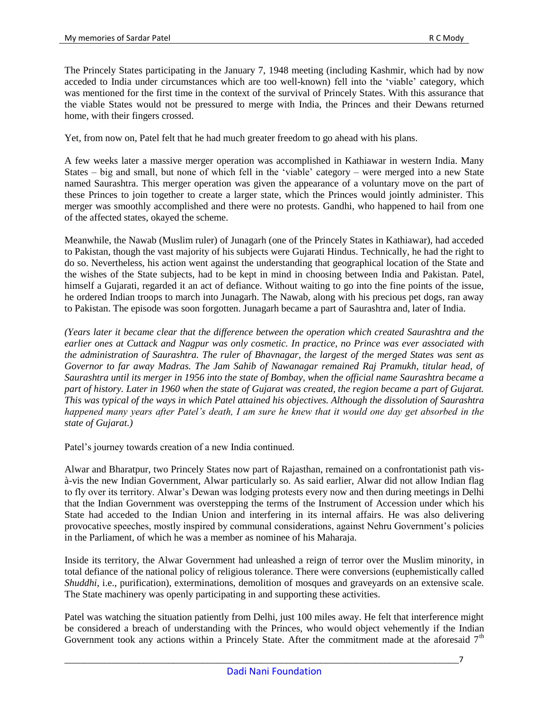The Princely States participating in the January 7, 1948 meeting (including Kashmir, which had by now acceded to India under circumstances which are too well-known) fell into the "viable" category, which was mentioned for the first time in the context of the survival of Princely States. With this assurance that the viable States would not be pressured to merge with India, the Princes and their Dewans returned home, with their fingers crossed.

Yet, from now on, Patel felt that he had much greater freedom to go ahead with his plans.

A few weeks later a massive merger operation was accomplished in Kathiawar in western India. Many States – big and small, but none of which fell in the "viable" category – were merged into a new State named Saurashtra. This merger operation was given the appearance of a voluntary move on the part of these Princes to join together to create a larger state, which the Princes would jointly administer. This merger was smoothly accomplished and there were no protests. Gandhi, who happened to hail from one of the affected states, okayed the scheme.

Meanwhile, the Nawab (Muslim ruler) of Junagarh (one of the Princely States in Kathiawar), had acceded to Pakistan, though the vast majority of his subjects were Gujarati Hindus. Technically, he had the right to do so. Nevertheless, his action went against the understanding that geographical location of the State and the wishes of the State subjects, had to be kept in mind in choosing between India and Pakistan. Patel, himself a Gujarati, regarded it an act of defiance. Without waiting to go into the fine points of the issue, he ordered Indian troops to march into Junagarh. The Nawab, along with his precious pet dogs, ran away to Pakistan. The episode was soon forgotten. Junagarh became a part of Saurashtra and, later of India.

*(Years later it became clear that the difference between the operation which created Saurashtra and the earlier ones at Cuttack and Nagpur was only cosmetic. In practice, no Prince was ever associated with the administration of Saurashtra. The ruler of Bhavnagar, the largest of the merged States was sent as Governor to far away Madras. The Jam Sahib of Nawanagar remained Raj Pramukh, titular head, of Saurashtra until its merger in 1956 into the state of Bombay, when the official name Saurashtra became a part of history. Later in 1960 when the state of Gujarat was created, the region became a part of Gujarat. This was typical of the ways in which Patel attained his objectives. Although the dissolution of Saurashtra happened many years after Patel's death, I am sure he knew that it would one day get absorbed in the state of Gujarat.)* 

Patel"s journey towards creation of a new India continued.

Alwar and Bharatpur, two Princely States now part of Rajasthan, remained on a confrontationist path visà-vis the new Indian Government, Alwar particularly so. As said earlier, Alwar did not allow Indian flag to fly over its territory. Alwar"s Dewan was lodging protests every now and then during meetings in Delhi that the Indian Government was overstepping the terms of the Instrument of Accession under which his State had acceded to the Indian Union and interfering in its internal affairs. He was also delivering provocative speeches, mostly inspired by communal considerations, against Nehru Government's policies in the Parliament, of which he was a member as nominee of his Maharaja.

Inside its territory, the Alwar Government had unleashed a reign of terror over the Muslim minority, in total defiance of the national policy of religious tolerance. There were conversions (euphemistically called *Shuddhi*, i.e., purification), exterminations, demolition of mosques and graveyards on an extensive scale. The State machinery was openly participating in and supporting these activities.

Patel was watching the situation patiently from Delhi, just 100 miles away. He felt that interference might be considered a breach of understanding with the Princes, who would object vehemently if the Indian Government took any actions within a Princely State. After the commitment made at the aforesaid  $7<sup>th</sup>$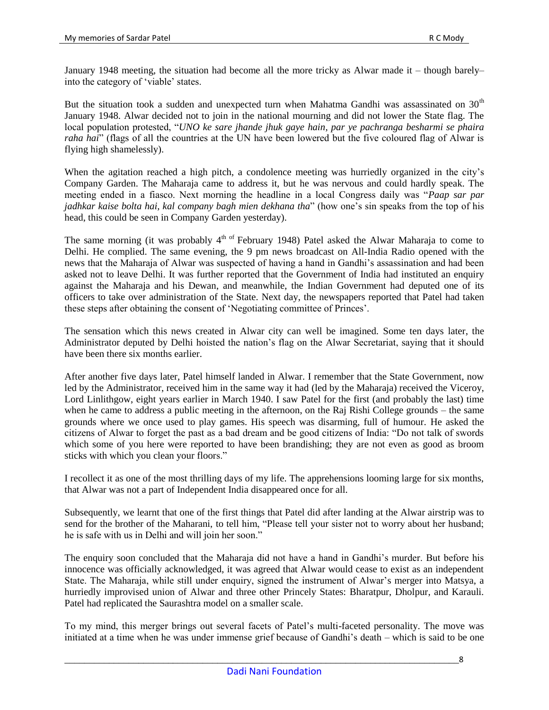January 1948 meeting, the situation had become all the more tricky as Alwar made it – though barely– into the category of "viable" states.

But the situation took a sudden and unexpected turn when Mahatma Gandhi was assassinated on  $30<sup>th</sup>$ January 1948. Alwar decided not to join in the national mourning and did not lower the State flag. The local population protested, "*UNO ke sare jhande jhuk gaye hain, par ye pachranga besharmi se phaira raha hai*" (flags of all the countries at the UN have been lowered but the five coloured flag of Alwar is flying high shamelessly).

When the agitation reached a high pitch, a condolence meeting was hurriedly organized in the city's Company Garden. The Maharaja came to address it, but he was nervous and could hardly speak. The meeting ended in a fiasco. Next morning the headline in a local Congress daily was "*Paap sar par jadhkar kaise bolta hai, kal company bagh mien dekhana tha*" (how one"s sin speaks from the top of his head, this could be seen in Company Garden yesterday).

The same morning (it was probably  $4<sup>th</sup>$  of February 1948) Patel asked the Alwar Maharaja to come to Delhi. He complied. The same evening, the 9 pm news broadcast on All-India Radio opened with the news that the Maharaja of Alwar was suspected of having a hand in Gandhi"s assassination and had been asked not to leave Delhi. It was further reported that the Government of India had instituted an enquiry against the Maharaja and his Dewan, and meanwhile, the Indian Government had deputed one of its officers to take over administration of the State. Next day, the newspapers reported that Patel had taken these steps after obtaining the consent of "Negotiating committee of Princes".

The sensation which this news created in Alwar city can well be imagined. Some ten days later, the Administrator deputed by Delhi hoisted the nation"s flag on the Alwar Secretariat, saying that it should have been there six months earlier.

After another five days later, Patel himself landed in Alwar. I remember that the State Government, now led by the Administrator, received him in the same way it had (led by the Maharaja) received the Viceroy, Lord Linlithgow, eight years earlier in March 1940. I saw Patel for the first (and probably the last) time when he came to address a public meeting in the afternoon, on the Raj Rishi College grounds – the same grounds where we once used to play games. His speech was disarming, full of humour. He asked the citizens of Alwar to forget the past as a bad dream and be good citizens of India: "Do not talk of swords which some of you here were reported to have been brandishing; they are not even as good as broom sticks with which you clean your floors."

I recollect it as one of the most thrilling days of my life. The apprehensions looming large for six months, that Alwar was not a part of Independent India disappeared once for all.

Subsequently, we learnt that one of the first things that Patel did after landing at the Alwar airstrip was to send for the brother of the Maharani, to tell him, "Please tell your sister not to worry about her husband; he is safe with us in Delhi and will join her soon."

The enquiry soon concluded that the Maharaja did not have a hand in Gandhi"s murder. But before his innocence was officially acknowledged, it was agreed that Alwar would cease to exist as an independent State. The Maharaja, while still under enquiry, signed the instrument of Alwar's merger into Matsya, a hurriedly improvised union of Alwar and three other Princely States: Bharatpur, Dholpur, and Karauli. Patel had replicated the Saurashtra model on a smaller scale.

To my mind, this merger brings out several facets of Patel"s multi-faceted personality. The move was initiated at a time when he was under immense grief because of Gandhi's death – which is said to be one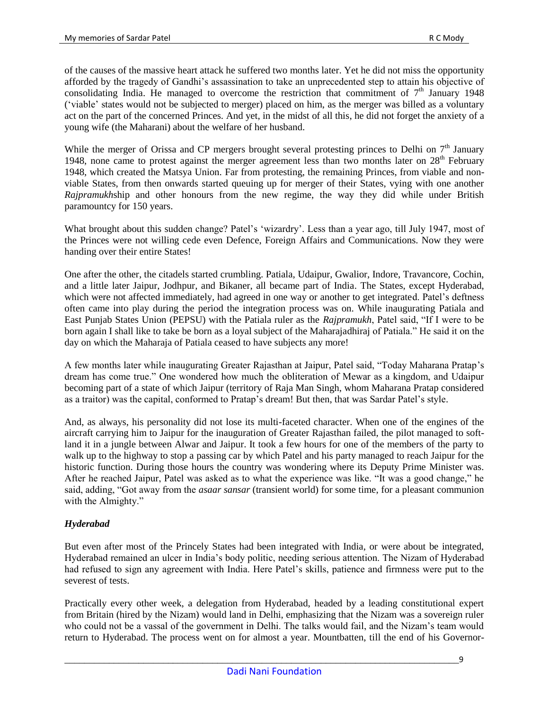of the causes of the massive heart attack he suffered two months later. Yet he did not miss the opportunity afforded by the tragedy of Gandhi"s assassination to take an unprecedented step to attain his objective of consolidating India. He managed to overcome the restriction that commitment of  $7<sup>th</sup>$  January 1948 ("viable" states would not be subjected to merger) placed on him, as the merger was billed as a voluntary act on the part of the concerned Princes. And yet, in the midst of all this, he did not forget the anxiety of a young wife (the Maharani) about the welfare of her husband.

While the merger of Orissa and CP mergers brought several protesting princes to Delhi on  $7<sup>th</sup>$  January 1948, none came to protest against the merger agreement less than two months later on  $28<sup>th</sup>$  February 1948, which created the Matsya Union. Far from protesting, the remaining Princes, from viable and nonviable States, from then onwards started queuing up for merger of their States, vying with one another *Rajpramukh*ship and other honours from the new regime, the way they did while under British paramountcy for 150 years.

What brought about this sudden change? Patel's 'wizardry'. Less than a year ago, till July 1947, most of the Princes were not willing cede even Defence, Foreign Affairs and Communications. Now they were handing over their entire States!

One after the other, the citadels started crumbling. Patiala, Udaipur, Gwalior, Indore, Travancore, Cochin, and a little later Jaipur, Jodhpur, and Bikaner, all became part of India. The States, except Hyderabad, which were not affected immediately, had agreed in one way or another to get integrated. Patel's deftness often came into play during the period the integration process was on. While inaugurating Patiala and East Punjab States Union (PEPSU) with the Patiala ruler as the *Rajpramukh*, Patel said, "If I were to be born again I shall like to take be born as a loyal subject of the Maharajadhiraj of Patiala." He said it on the day on which the Maharaja of Patiala ceased to have subjects any more!

A few months later while inaugurating Greater Rajasthan at Jaipur, Patel said, "Today Maharana Pratap"s dream has come true." One wondered how much the obliteration of Mewar as a kingdom, and Udaipur becoming part of a state of which Jaipur (territory of Raja Man Singh, whom Maharana Pratap considered as a traitor) was the capital, conformed to Pratap"s dream! But then, that was Sardar Patel"s style.

And, as always, his personality did not lose its multi-faceted character. When one of the engines of the aircraft carrying him to Jaipur for the inauguration of Greater Rajasthan failed, the pilot managed to softland it in a jungle between Alwar and Jaipur. It took a few hours for one of the members of the party to walk up to the highway to stop a passing car by which Patel and his party managed to reach Jaipur for the historic function. During those hours the country was wondering where its Deputy Prime Minister was. After he reached Jaipur, Patel was asked as to what the experience was like. "It was a good change," he said, adding, "Got away from the *asaar sansar* (transient world) for some time, for a pleasant communion with the Almighty."

## *Hyderabad*

But even after most of the Princely States had been integrated with India, or were about be integrated, Hyderabad remained an ulcer in India"s body politic, needing serious attention. The Nizam of Hyderabad had refused to sign any agreement with India. Here Patel's skills, patience and firmness were put to the severest of tests.

Practically every other week, a delegation from Hyderabad, headed by a leading constitutional expert from Britain (hired by the Nizam) would land in Delhi, emphasizing that the Nizam was a sovereign ruler who could not be a vassal of the government in Delhi. The talks would fail, and the Nizam"s team would return to Hyderabad. The process went on for almost a year. Mountbatten, till the end of his Governor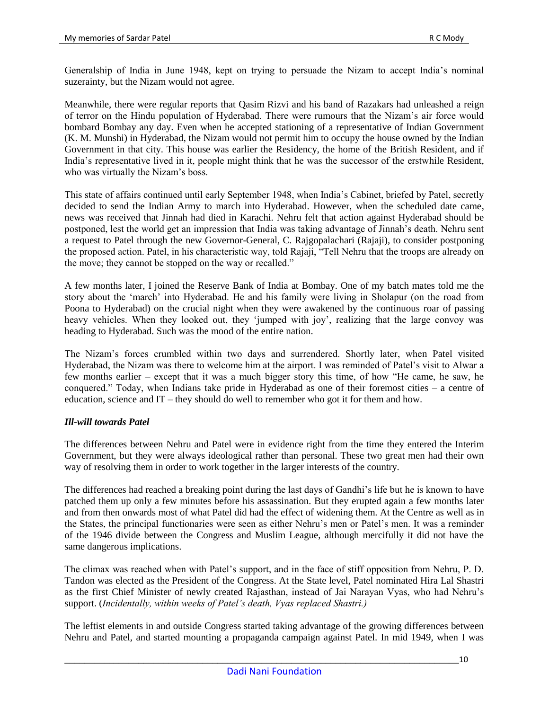Generalship of India in June 1948, kept on trying to persuade the Nizam to accept India"s nominal suzerainty, but the Nizam would not agree.

Meanwhile, there were regular reports that Qasim Rizvi and his band of Razakars had unleashed a reign of terror on the Hindu population of Hyderabad. There were rumours that the Nizam"s air force would bombard Bombay any day. Even when he accepted stationing of a representative of Indian Government (K. M. Munshi) in Hyderabad, the Nizam would not permit him to occupy the house owned by the Indian Government in that city. This house was earlier the Residency, the home of the British Resident, and if India"s representative lived in it, people might think that he was the successor of the erstwhile Resident, who was virtually the Nizam"s boss.

This state of affairs continued until early September 1948, when India"s Cabinet, briefed by Patel, secretly decided to send the Indian Army to march into Hyderabad. However, when the scheduled date came, news was received that Jinnah had died in Karachi. Nehru felt that action against Hyderabad should be postponed, lest the world get an impression that India was taking advantage of Jinnah"s death. Nehru sent a request to Patel through the new Governor-General, C. Rajgopalachari (Rajaji), to consider postponing the proposed action. Patel, in his characteristic way, told Rajaji, "Tell Nehru that the troops are already on the move; they cannot be stopped on the way or recalled."

A few months later, I joined the Reserve Bank of India at Bombay. One of my batch mates told me the story about the "march" into Hyderabad. He and his family were living in Sholapur (on the road from Poona to Hyderabad) on the crucial night when they were awakened by the continuous roar of passing heavy vehicles. When they looked out, they 'jumped with joy', realizing that the large convoy was heading to Hyderabad. Such was the mood of the entire nation.

The Nizam"s forces crumbled within two days and surrendered. Shortly later, when Patel visited Hyderabad, the Nizam was there to welcome him at the airport. I was reminded of Patel"s visit to Alwar a few months earlier – except that it was a much bigger story this time, of how "He came, he saw, he conquered." Today, when Indians take pride in Hyderabad as one of their foremost cities – a centre of education, science and IT – they should do well to remember who got it for them and how.

## *Ill-will towards Patel*

The differences between Nehru and Patel were in evidence right from the time they entered the Interim Government, but they were always ideological rather than personal. These two great men had their own way of resolving them in order to work together in the larger interests of the country.

The differences had reached a breaking point during the last days of Gandhi"s life but he is known to have patched them up only a few minutes before his assassination. But they erupted again a few months later and from then onwards most of what Patel did had the effect of widening them. At the Centre as well as in the States, the principal functionaries were seen as either Nehru"s men or Patel"s men. It was a reminder of the 1946 divide between the Congress and Muslim League, although mercifully it did not have the same dangerous implications.

The climax was reached when with Patel"s support, and in the face of stiff opposition from Nehru, P. D. Tandon was elected as the President of the Congress. At the State level, Patel nominated Hira Lal Shastri as the first Chief Minister of newly created Rajasthan, instead of Jai Narayan Vyas, who had Nehru"s support. (*Incidentally, within weeks of Patel's death, Vyas replaced Shastri.)*

The leftist elements in and outside Congress started taking advantage of the growing differences between Nehru and Patel, and started mounting a propaganda campaign against Patel. In mid 1949, when I was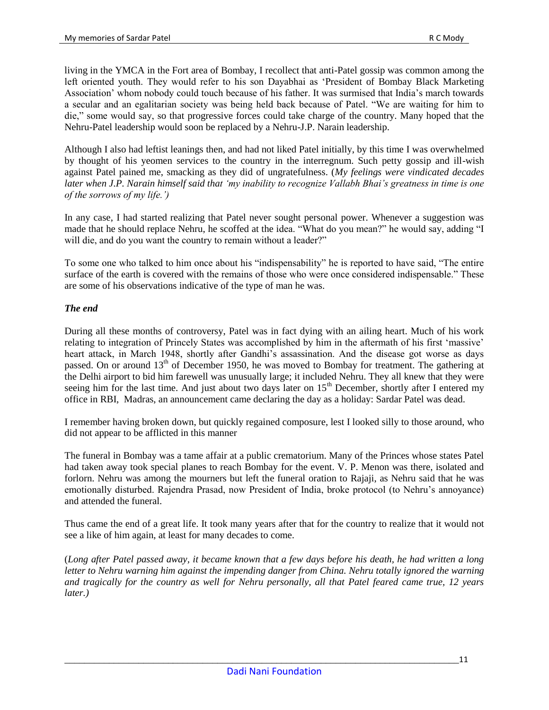living in the YMCA in the Fort area of Bombay, I recollect that anti-Patel gossip was common among the left oriented youth. They would refer to his son Dayabhai as "President of Bombay Black Marketing Association" whom nobody could touch because of his father. It was surmised that India"s march towards a secular and an egalitarian society was being held back because of Patel. "We are waiting for him to die," some would say, so that progressive forces could take charge of the country. Many hoped that the Nehru-Patel leadership would soon be replaced by a Nehru-J.P. Narain leadership.

Although I also had leftist leanings then, and had not liked Patel initially, by this time I was overwhelmed by thought of his yeomen services to the country in the interregnum. Such petty gossip and ill-wish against Patel pained me, smacking as they did of ungratefulness. (*My feelings were vindicated decades later when J.P. Narain himself said that 'my inability to recognize Vallabh Bhai's greatness in time is one of the sorrows of my life.')*

In any case, I had started realizing that Patel never sought personal power. Whenever a suggestion was made that he should replace Nehru, he scoffed at the idea. "What do you mean?" he would say, adding "I will die, and do you want the country to remain without a leader?"

To some one who talked to him once about his "indispensability" he is reported to have said, "The entire surface of the earth is covered with the remains of those who were once considered indispensable." These are some of his observations indicative of the type of man he was.

# *The end*

During all these months of controversy, Patel was in fact dying with an ailing heart. Much of his work relating to integration of Princely States was accomplished by him in the aftermath of his first "massive" heart attack, in March 1948, shortly after Gandhi"s assassination. And the disease got worse as days passed. On or around 13<sup>th</sup> of December 1950, he was moved to Bombay for treatment. The gathering at the Delhi airport to bid him farewell was unusually large; it included Nehru. They all knew that they were seeing him for the last time. And just about two days later on 15<sup>th</sup> December, shortly after I entered my office in RBI, Madras, an announcement came declaring the day as a holiday: Sardar Patel was dead.

I remember having broken down, but quickly regained composure, lest I looked silly to those around, who did not appear to be afflicted in this manner

The funeral in Bombay was a tame affair at a public crematorium. Many of the Princes whose states Patel had taken away took special planes to reach Bombay for the event. V. P. Menon was there, isolated and forlorn. Nehru was among the mourners but left the funeral oration to Rajaji, as Nehru said that he was emotionally disturbed. Rajendra Prasad, now President of India, broke protocol (to Nehru"s annoyance) and attended the funeral.

Thus came the end of a great life. It took many years after that for the country to realize that it would not see a like of him again, at least for many decades to come.

(*Long after Patel passed away, it became known that a few days before his death, he had written a long*  letter to Nehru warning him against the impending danger from China. Nehru totally ignored the warning *and tragically for the country as well for Nehru personally, all that Patel feared came true, 12 years later.)*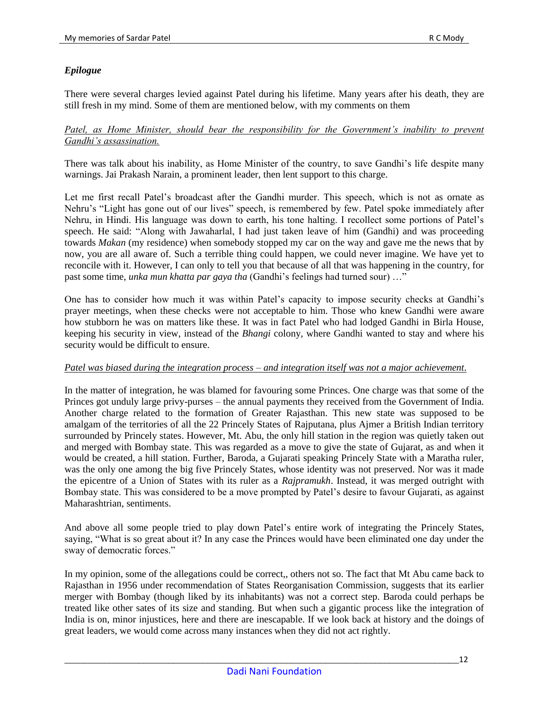# *Epilogue*

There were several charges levied against Patel during his lifetime. Many years after his death, they are still fresh in my mind. Some of them are mentioned below, with my comments on them

### Patel, as Home Minister, should bear the responsibility for the Government's inability to prevent *Gandhi's assassination.*

There was talk about his inability, as Home Minister of the country, to save Gandhi"s life despite many warnings. Jai Prakash Narain, a prominent leader, then lent support to this charge.

Let me first recall Patel's broadcast after the Gandhi murder. This speech, which is not as ornate as Nehru"s "Light has gone out of our lives" speech, is remembered by few. Patel spoke immediately after Nehru, in Hindi. His language was down to earth, his tone halting. I recollect some portions of Patel"s speech. He said: "Along with Jawaharlal, I had just taken leave of him (Gandhi) and was proceeding towards *Makan* (my residence) when somebody stopped my car on the way and gave me the news that by now, you are all aware of. Such a terrible thing could happen, we could never imagine. We have yet to reconcile with it. However, I can only to tell you that because of all that was happening in the country, for past some time, *unka mun khatta par gaya tha* (Gandhi"s feelings had turned sour) …"

One has to consider how much it was within Patel"s capacity to impose security checks at Gandhi"s prayer meetings, when these checks were not acceptable to him. Those who knew Gandhi were aware how stubborn he was on matters like these. It was in fact Patel who had lodged Gandhi in Birla House, keeping his security in view, instead of the *Bhangi* colony, where Gandhi wanted to stay and where his security would be difficult to ensure.

#### *Patel was biased during the integration process – and integration itself was not a major achievement.*

In the matter of integration, he was blamed for favouring some Princes. One charge was that some of the Princes got unduly large privy-purses – the annual payments they received from the Government of India. Another charge related to the formation of Greater Rajasthan. This new state was supposed to be amalgam of the territories of all the 22 Princely States of Rajputana, plus Ajmer a British Indian territory surrounded by Princely states. However, Mt. Abu, the only hill station in the region was quietly taken out and merged with Bombay state. This was regarded as a move to give the state of Gujarat, as and when it would be created, a hill station. Further, Baroda, a Gujarati speaking Princely State with a Maratha ruler, was the only one among the big five Princely States, whose identity was not preserved. Nor was it made the epicentre of a Union of States with its ruler as a *Rajpramukh*. Instead, it was merged outright with Bombay state. This was considered to be a move prompted by Patel"s desire to favour Gujarati, as against Maharashtrian, sentiments.

And above all some people tried to play down Patel"s entire work of integrating the Princely States, saying, "What is so great about it? In any case the Princes would have been eliminated one day under the sway of democratic forces."

In my opinion, some of the allegations could be correct,, others not so. The fact that Mt Abu came back to Rajasthan in 1956 under recommendation of States Reorganisation Commission, suggests that its earlier merger with Bombay (though liked by its inhabitants) was not a correct step. Baroda could perhaps be treated like other sates of its size and standing. But when such a gigantic process like the integration of India is on, minor injustices, here and there are inescapable. If we look back at history and the doings of great leaders, we would come across many instances when they did not act rightly.